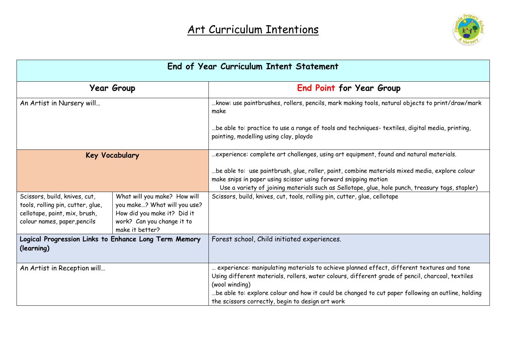

| End of Year Curriculum Intent Statement                                                                                             |                                                                                                                                              |                                                                                                                                                                                                                                                                                                                                                                          |
|-------------------------------------------------------------------------------------------------------------------------------------|----------------------------------------------------------------------------------------------------------------------------------------------|--------------------------------------------------------------------------------------------------------------------------------------------------------------------------------------------------------------------------------------------------------------------------------------------------------------------------------------------------------------------------|
|                                                                                                                                     | <b>Year Group</b>                                                                                                                            | End Point for Year Group                                                                                                                                                                                                                                                                                                                                                 |
| An Artist in Nursery will                                                                                                           |                                                                                                                                              | know: use paintbrushes, rollers, pencils, mark making tools, natural objects to print/draw/mark<br>make                                                                                                                                                                                                                                                                  |
|                                                                                                                                     |                                                                                                                                              | be able to: practice to use a range of tools and techniques- textiles, digital media, printing<br>painting, modelling using clay, playdo                                                                                                                                                                                                                                 |
|                                                                                                                                     | <b>Key Vocabulary</b>                                                                                                                        | experience: complete art challenges, using art equipment, found and natural materials.                                                                                                                                                                                                                                                                                   |
|                                                                                                                                     |                                                                                                                                              | be able to: use paintbrush, glue, roller, paint, combine materials mixed media, explore colour<br>make snips in paper using scissor using forward snipping motion<br>Use a variety of joining materials such as Sellotape, glue, hole punch, treasury tags, stapler)                                                                                                     |
| Scissors, build, knives, cut,<br>tools, rolling pin, cutter, glue,<br>cellotape, paint, mix, brush,<br>colour names, paper, pencils | What will you make? How will<br>you make? What will you use?<br>How did you make it? Did it<br>work? Can you change it to<br>make it better? | Scissors, build, knives, cut, tools, rolling pin, cutter, glue, cellotape                                                                                                                                                                                                                                                                                                |
| Logical Progression Links to Enhance Long Term Memory<br>(learning)                                                                 |                                                                                                                                              | Forest school, Child initiated experiences.                                                                                                                                                                                                                                                                                                                              |
| An Artist in Reception will                                                                                                         |                                                                                                                                              | experience: manipulating materials to achieve planned effect, different textures and tone<br>Using different materials, rollers, water colours, different grade of pencil, charcoal, textiles<br>(wool winding)<br>be able to: explore colour and how it could be changed to cut paper following an outline, holding<br>the scissors correctly, begin to design art work |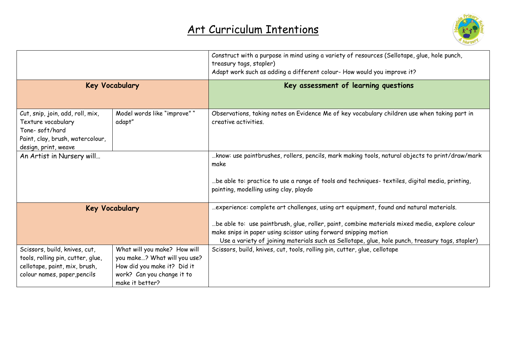

|                                                                                                                                      |                                                                                                                                              | Construct with a purpose in mind using a variety of resources (Sellotape, glue, hole punch,<br>treasury tags, stapler)<br>Adapt work such as adding a different colour- How would you improve it?                                                                    |
|--------------------------------------------------------------------------------------------------------------------------------------|----------------------------------------------------------------------------------------------------------------------------------------------|----------------------------------------------------------------------------------------------------------------------------------------------------------------------------------------------------------------------------------------------------------------------|
| <b>Key Vocabulary</b>                                                                                                                |                                                                                                                                              | Key assessment of learning questions                                                                                                                                                                                                                                 |
| Cut, snip, join, add, roll, mix,<br>Texture vocabulary<br>Tone-soft/hard<br>Paint, clay, brush, watercolour,<br>design, print, weave | Model words like "improve" "<br>adapt"                                                                                                       | Observations, taking notes on Evidence Me of key vocabulary children use when taking part in<br>creative activities.                                                                                                                                                 |
| An Artist in Nursery will                                                                                                            |                                                                                                                                              | know: use paintbrushes, rollers, pencils, mark making tools, natural objects to print/draw/mark<br>make<br>be able to: practice to use a range of tools and techniques- textiles, digital media, printing,                                                           |
|                                                                                                                                      |                                                                                                                                              | painting, modelling using clay, playdo                                                                                                                                                                                                                               |
| <b>Key Vocabulary</b>                                                                                                                |                                                                                                                                              | experience: complete art challenges, using art equipment, found and natural materials.                                                                                                                                                                               |
|                                                                                                                                      |                                                                                                                                              | be able to: use paintbrush, glue, roller, paint, combine materials mixed media, explore colour<br>make snips in paper using scissor using forward snipping motion<br>Use a variety of joining materials such as Sellotape, glue, hole punch, treasury tags, stapler) |
| Scissors, build, knives, cut,<br>tools, rolling pin, cutter, glue,<br>cellotape, paint, mix, brush,<br>colour names, paper, pencils  | What will you make? How will<br>you make? What will you use?<br>How did you make it? Did it<br>work? Can you change it to<br>make it better? | Scissors, build, knives, cut, tools, rolling pin, cutter, glue, cellotape                                                                                                                                                                                            |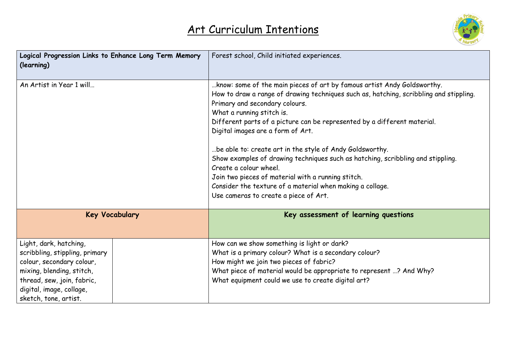

| Logical Progression Links to Enhance Long Term Memory<br>(learning)                                                                                                                                   | Forest school, Child initiated experiences.                                                                                                                                                                                                                                                                                                                                                                                                                                                                                                                                                                                                                                            |
|-------------------------------------------------------------------------------------------------------------------------------------------------------------------------------------------------------|----------------------------------------------------------------------------------------------------------------------------------------------------------------------------------------------------------------------------------------------------------------------------------------------------------------------------------------------------------------------------------------------------------------------------------------------------------------------------------------------------------------------------------------------------------------------------------------------------------------------------------------------------------------------------------------|
| An Artist in Year 1 will                                                                                                                                                                              | know: some of the main pieces of art by famous artist Andy Goldsworthy.<br>How to draw a range of drawing techniques such as, hatching, scribbling and stippling.<br>Primary and secondary colours.<br>What a running stitch is.<br>Different parts of a picture can be represented by a different material.<br>Digital images are a form of Art.<br>be able to: create art in the style of Andy Goldsworthy.<br>Show examples of drawing techniques such as hatching, scribbling and stippling.<br>Create a colour wheel.<br>Join two pieces of material with a running stitch.<br>Consider the texture of a material when making a collage.<br>Use cameras to create a piece of Art. |
| <b>Key Vocabulary</b>                                                                                                                                                                                 | Key assessment of learning questions                                                                                                                                                                                                                                                                                                                                                                                                                                                                                                                                                                                                                                                   |
| Light, dark, hatching,<br>scribbling, stippling, primary<br>colour, secondary colour,<br>mixing, blending, stitch,<br>thread, sew, join, fabric,<br>digital, image, collage,<br>sketch, tone, artist. | How can we show something is light or dark?<br>What is a primary colour? What is a secondary colour?<br>How might we join two pieces of fabric?<br>What piece of material would be appropriate to represent ? And Why?<br>What equipment could we use to create digital art?                                                                                                                                                                                                                                                                                                                                                                                                           |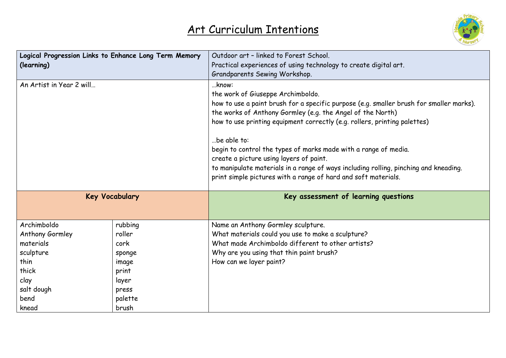

| Logical Progression Links to Enhance Long Term Memory |         | Outdoor art - linked to Forest School.                                                  |
|-------------------------------------------------------|---------|-----------------------------------------------------------------------------------------|
| (learning)                                            |         | Practical experiences of using technology to create digital art.                        |
|                                                       |         | Grandparents Sewing Workshop.                                                           |
| An Artist in Year 2 will                              |         | know:                                                                                   |
|                                                       |         | the work of Giuseppe Archimboldo.                                                       |
|                                                       |         | how to use a paint brush for a specific purpose (e.g. smaller brush for smaller marks). |
|                                                       |         | the works of Anthony Gormley (e.g. the Angel of the North)                              |
|                                                       |         | how to use printing equipment correctly (e.g. rollers, printing palettes)               |
|                                                       |         | be able to:                                                                             |
|                                                       |         | begin to control the types of marks made with a range of media.                         |
|                                                       |         | create a picture using layers of paint.                                                 |
|                                                       |         | to manipulate materials in a range of ways including rolling, pinching and kneading.    |
|                                                       |         | print simple pictures with a range of hard and soft materials.                          |
| <b>Key Vocabulary</b>                                 |         | Key assessment of learning questions                                                    |
| Archimboldo                                           | rubbing | Name an Anthony Gormley sculpture.                                                      |
| Anthony Gormley                                       | roller  | What materials could you use to make a sculpture?                                       |
| materials                                             | cork    | What made Archimboldo different to other artists?                                       |
| sculpture                                             | sponge  | Why are you using that thin paint brush?                                                |
| thin                                                  | image   | How can we layer paint?                                                                 |
| thick                                                 | print   |                                                                                         |
|                                                       |         |                                                                                         |
| clay                                                  | layer   |                                                                                         |
| salt dough                                            | press   |                                                                                         |
| bend                                                  | palette |                                                                                         |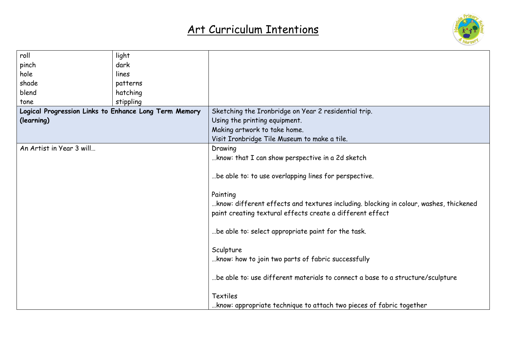

| roll                                                  | light     |                                                                                       |
|-------------------------------------------------------|-----------|---------------------------------------------------------------------------------------|
| pinch                                                 | dark      |                                                                                       |
| hole                                                  | lines     |                                                                                       |
| shade                                                 | patterns  |                                                                                       |
| blend                                                 | hatching  |                                                                                       |
| tone                                                  | stippling |                                                                                       |
| Logical Progression Links to Enhance Long Term Memory |           | Sketching the Ironbridge on Year 2 residential trip.                                  |
| (learning)                                            |           | Using the printing equipment.                                                         |
|                                                       |           | Making artwork to take home.                                                          |
|                                                       |           | Visit Ironbridge Tile Museum to make a tile.                                          |
| An Artist in Year 3 will                              |           | Drawing                                                                               |
|                                                       |           | know: that I can show perspective in a 2d sketch                                      |
|                                                       |           |                                                                                       |
|                                                       |           | be able to: to use overlapping lines for perspective.                                 |
|                                                       |           |                                                                                       |
|                                                       |           | Painting                                                                              |
|                                                       |           | know: different effects and textures including. blocking in colour, washes, thickened |
|                                                       |           | paint creating textural effects create a different effect                             |
|                                                       |           |                                                                                       |
|                                                       |           | be able to: select appropriate paint for the task.                                    |
|                                                       |           |                                                                                       |
|                                                       |           | Sculpture                                                                             |
|                                                       |           | know: how to join two parts of fabric successfully                                    |
|                                                       |           |                                                                                       |
|                                                       |           | be able to: use different materials to connect a base to a structure/sculpture        |
|                                                       |           |                                                                                       |
|                                                       |           | Textiles                                                                              |
|                                                       |           | know: appropriate technique to attach two pieces of fabric together                   |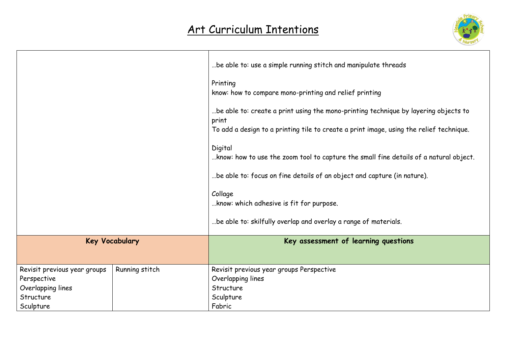

|                              |                | be able to: use a simple running stitch and manipulate threads                                   |
|------------------------------|----------------|--------------------------------------------------------------------------------------------------|
|                              |                | Printing<br>know: how to compare mono-printing and relief printing                               |
|                              |                | be able to: create a print using the mono-printing technique by layering objects to<br>print     |
|                              |                | To add a design to a printing tile to create a print image, using the relief technique.          |
|                              |                | Digital<br>know: how to use the zoom tool to capture the small fine details of a natural object. |
|                              |                | be able to: focus on fine details of an object and capture (in nature).                          |
|                              |                | Collage<br>know: which adhesive is fit for purpose.                                              |
|                              |                | be able to: skilfully overlap and overlay a range of materials.                                  |
| <b>Key Vocabulary</b>        |                | Key assessment of learning questions                                                             |
| Revisit previous year groups | Running stitch | Revisit previous year groups Perspective                                                         |
| Perspective                  |                | Overlapping lines                                                                                |
| Overlapping lines            |                | Structure                                                                                        |
| Structure                    |                | Sculpture                                                                                        |
| Sculpture                    |                | Fabric                                                                                           |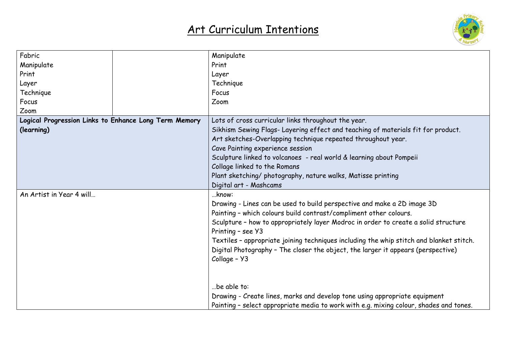

| Fabric                                                | Manipulate                                                                              |
|-------------------------------------------------------|-----------------------------------------------------------------------------------------|
| Manipulate                                            | Print                                                                                   |
| Print                                                 | Layer                                                                                   |
| Layer                                                 | Technique                                                                               |
| Technique                                             | Focus                                                                                   |
| Focus                                                 | Zoom                                                                                    |
| Zoom                                                  |                                                                                         |
| Logical Progression Links to Enhance Long Term Memory | Lots of cross curricular links throughout the year.                                     |
| (learning)                                            | Sikhism Sewing Flags-Layering effect and teaching of materials fit for product.         |
|                                                       | Art sketches-Overlapping technique repeated throughout year.                            |
|                                                       | Cave Painting experience session                                                        |
|                                                       | Sculpture linked to volcanoes - real world & learning about Pompeii                     |
|                                                       | Collage linked to the Romans                                                            |
|                                                       | Plant sketching/ photography, nature walks, Matisse printing                            |
|                                                       | Digital art - Mashcams                                                                  |
| An Artist in Year 4 will                              | know:                                                                                   |
|                                                       | Drawing - Lines can be used to build perspective and make a 2D image 3D                 |
|                                                       | Painting - which colours build contrast/compliment other colours.                       |
|                                                       | Sculpture - how to appropriately layer Modroc in order to create a solid structure      |
|                                                       | Printing - see Y3                                                                       |
|                                                       | Textiles - appropriate joining techniques including the whip stitch and blanket stitch. |
|                                                       | Digital Photography - The closer the object, the larger it appears (perspective)        |
|                                                       | Collage - Y3                                                                            |
|                                                       |                                                                                         |
|                                                       |                                                                                         |
|                                                       | be able to:                                                                             |
|                                                       | Drawing - Create lines, marks and develop tone using appropriate equipment              |
|                                                       | Painting - select appropriate media to work with e.g. mixing colour, shades and tones.  |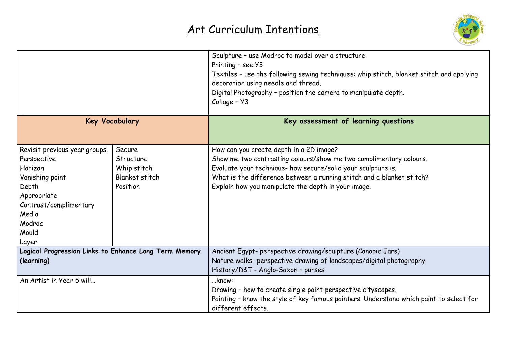

|                                                                                                                                                                   |                                                                  | Sculpture - use Modroc to model over a structure<br>Printing - see Y3<br>Textiles - use the following sewing techniques: whip stitch, blanket stitch and applying<br>decoration using needle and thread.<br>Digital Photography - position the camera to manipulate depth.                                    |
|-------------------------------------------------------------------------------------------------------------------------------------------------------------------|------------------------------------------------------------------|---------------------------------------------------------------------------------------------------------------------------------------------------------------------------------------------------------------------------------------------------------------------------------------------------------------|
|                                                                                                                                                                   |                                                                  | Collage - Y3                                                                                                                                                                                                                                                                                                  |
| <b>Key Vocabulary</b>                                                                                                                                             |                                                                  | Key assessment of learning questions                                                                                                                                                                                                                                                                          |
| Revisit previous year groups.<br>Perspective<br>Horizon<br>Vanishing point<br>Depth<br>Appropriate<br>Contrast/complimentary<br>Media<br>Modroc<br>Mould<br>Layer | Secure<br>Structure<br>Whip stitch<br>Blanket stitch<br>Position | How can you create depth in a 2D image?<br>Show me two contrasting colours/show me two complimentary colours.<br>Evaluate your technique- how secure/solid your sculpture is.<br>What is the difference between a running stitch and a blanket stitch?<br>Explain how you manipulate the depth in your image. |
| Logical Progression Links to Enhance Long Term Memory<br>(learning)                                                                                               |                                                                  | Ancient Egypt- perspective drawing/sculpture (Canopic Jars)<br>Nature walks- perspective drawing of landscapes/digital photography<br>History/D&T - Anglo-Saxon - purses                                                                                                                                      |
| An Artist in Year 5 will                                                                                                                                          |                                                                  | know:<br>Drawing - how to create single point perspective cityscapes.<br>Painting - know the style of key famous painters. Understand which paint to select for<br>different effects.                                                                                                                         |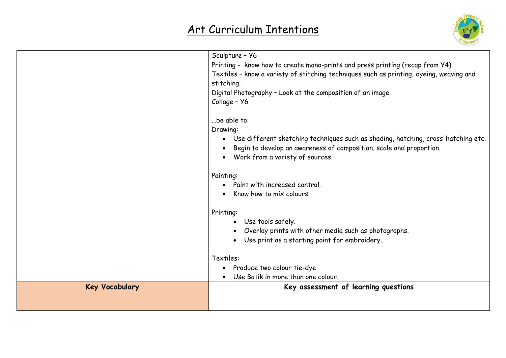

|                       | Sculpture - Y6                                                                          |
|-----------------------|-----------------------------------------------------------------------------------------|
|                       | Printing - know how to create mono-prints and press printing (recap from Y4)            |
|                       | Textiles - know a variety of stitching techniques such as printing, dyeing, weaving and |
|                       | stitching.                                                                              |
|                       | Digital Photography - Look at the composition of an image.                              |
|                       | Collage - Y6                                                                            |
|                       |                                                                                         |
|                       | be able to:                                                                             |
|                       | Drawing:                                                                                |
|                       | Use different sketching techniques such as shading, hatching, cross-hatching etc.       |
|                       | Begin to develop an awareness of composition, scale and proportion.                     |
|                       | • Work from a variety of sources.                                                       |
|                       | Painting:                                                                               |
|                       | Paint with increased control.                                                           |
|                       | Know how to mix colours.                                                                |
|                       |                                                                                         |
|                       | Printing:                                                                               |
|                       | Use tools safely.<br>$\bullet$                                                          |
|                       | Overlay prints with other media such as photographs.                                    |
|                       | Use print as a starting point for embroidery.<br>$\bullet$                              |
|                       | Textiles:                                                                               |
|                       | Produce two colour tie-dye<br>$\bullet$                                                 |
|                       | Use Batik in more than one colour.                                                      |
| <b>Key Vocabulary</b> | Key assessment of learning questions                                                    |
|                       |                                                                                         |
|                       |                                                                                         |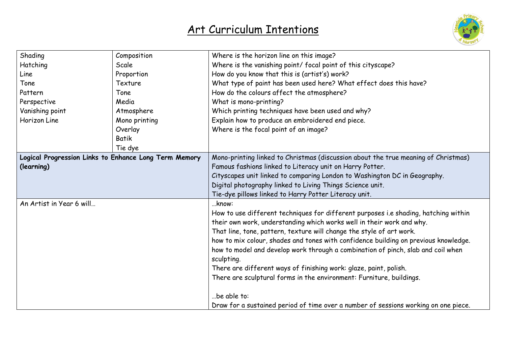

| Shading                                               | Composition   | Where is the horizon line on this image?                                            |
|-------------------------------------------------------|---------------|-------------------------------------------------------------------------------------|
| Hatching                                              | Scale         | Where is the vanishing point/ focal point of this cityscape?                        |
| Line                                                  | Proportion    | How do you know that this is (artist's) work?                                       |
| Tone                                                  | Texture       | What type of paint has been used here? What effect does this have?                  |
| Pattern                                               | Tone          | How do the colours affect the atmosphere?                                           |
| Perspective                                           | Media         | What is mono-printing?                                                              |
| Vanishing point                                       | Atmosphere    | Which printing techniques have been used and why?                                   |
| Horizon Line                                          | Mono printing | Explain how to produce an embroidered end piece.                                    |
|                                                       | Overlay       | Where is the focal point of an image?                                               |
|                                                       | <b>Batik</b>  |                                                                                     |
|                                                       | Tie dye       |                                                                                     |
| Logical Progression Links to Enhance Long Term Memory |               | Mono-printing linked to Christmas (discussion about the true meaning of Christmas)  |
| (learning)                                            |               | Famous fashions linked to Literacy unit on Harry Potter.                            |
|                                                       |               | Cityscapes unit linked to comparing London to Washington DC in Geography.           |
|                                                       |               | Digital photography linked to Living Things Science unit.                           |
|                                                       |               | Tie-dye pillows linked to Harry Potter Literacy unit.                               |
| An Artist in Year 6 will                              |               | know:                                                                               |
|                                                       |               | How to use different techniques for different purposes i.e shading, hatching within |
|                                                       |               | their own work, understanding which works well in their work and why.               |
|                                                       |               | That line, tone, pattern, texture will change the style of art work.                |
|                                                       |               | how to mix colour, shades and tones with confidence building on previous knowledge. |
|                                                       |               | how to model and develop work through a combination of pinch, slab and coil when    |
|                                                       |               | sculpting.                                                                          |
|                                                       |               | There are different ways of finishing work: glaze, paint, polish.                   |
|                                                       |               | There are sculptural forms in the environment: Furniture, buildings.                |
|                                                       |               |                                                                                     |
|                                                       |               | be able to:                                                                         |
|                                                       |               | Draw for a sustained period of time over a number of sessions working on one piece. |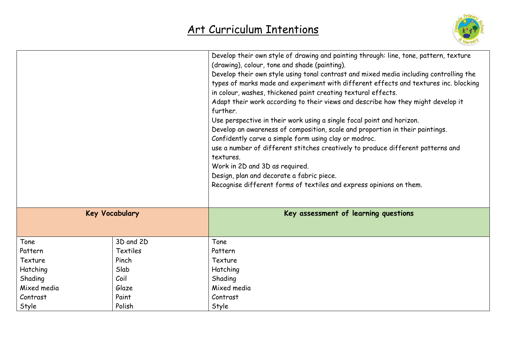

|             |                       | Develop their own style of drawing and painting through: line, tone, pattern, texture<br>(drawing), colour, tone and shade (painting).<br>Develop their own style using tonal contrast and mixed media including controlling the<br>types of marks made and experiment with different effects and textures inc. blocking<br>in colour, washes, thickened paint creating textural effects.<br>Adapt their work according to their views and describe how they might develop it<br>further.<br>Use perspective in their work using a single focal point and horizon.<br>Develop an awareness of composition, scale and proportion in their paintings.<br>Confidently carve a simple form using clay or modroc.<br>use a number of different stitches creatively to produce different patterns and<br>textures.<br>Work in 2D and 3D as required.<br>Design, plan and decorate a fabric piece.<br>Recognise different forms of textiles and express opinions on them. |
|-------------|-----------------------|--------------------------------------------------------------------------------------------------------------------------------------------------------------------------------------------------------------------------------------------------------------------------------------------------------------------------------------------------------------------------------------------------------------------------------------------------------------------------------------------------------------------------------------------------------------------------------------------------------------------------------------------------------------------------------------------------------------------------------------------------------------------------------------------------------------------------------------------------------------------------------------------------------------------------------------------------------------------|
|             | <b>Key Vocabulary</b> | Key assessment of learning questions                                                                                                                                                                                                                                                                                                                                                                                                                                                                                                                                                                                                                                                                                                                                                                                                                                                                                                                               |
| Tone        | 3D and 2D             | Tone                                                                                                                                                                                                                                                                                                                                                                                                                                                                                                                                                                                                                                                                                                                                                                                                                                                                                                                                                               |
| Pattern     | <b>Textiles</b>       | Pattern                                                                                                                                                                                                                                                                                                                                                                                                                                                                                                                                                                                                                                                                                                                                                                                                                                                                                                                                                            |
| Texture     | Pinch                 | Texture                                                                                                                                                                                                                                                                                                                                                                                                                                                                                                                                                                                                                                                                                                                                                                                                                                                                                                                                                            |
| Hatching    | Slab                  | Hatching                                                                                                                                                                                                                                                                                                                                                                                                                                                                                                                                                                                                                                                                                                                                                                                                                                                                                                                                                           |
| Shading     | Coil                  | Shading                                                                                                                                                                                                                                                                                                                                                                                                                                                                                                                                                                                                                                                                                                                                                                                                                                                                                                                                                            |
| Mixed media | Glaze                 | Mixed media                                                                                                                                                                                                                                                                                                                                                                                                                                                                                                                                                                                                                                                                                                                                                                                                                                                                                                                                                        |
| Contrast    | Paint                 | Contrast                                                                                                                                                                                                                                                                                                                                                                                                                                                                                                                                                                                                                                                                                                                                                                                                                                                                                                                                                           |
| Style       | Polish                | Style                                                                                                                                                                                                                                                                                                                                                                                                                                                                                                                                                                                                                                                                                                                                                                                                                                                                                                                                                              |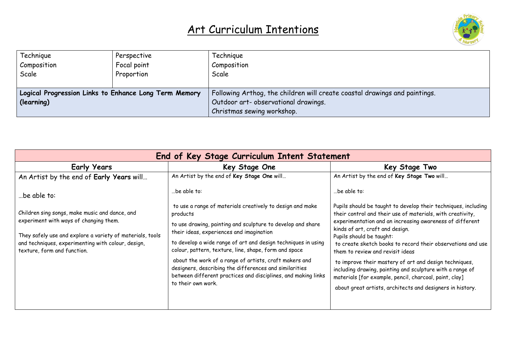

| Technique                                             | Perspective | Technigue                                                                  |
|-------------------------------------------------------|-------------|----------------------------------------------------------------------------|
| Composition                                           | Focal point | Composition                                                                |
| Scale                                                 | Proportion  | Scale                                                                      |
|                                                       |             |                                                                            |
| Logical Progression Links to Enhance Long Term Memory |             | Following Arthog, the children will create coastal drawings and paintings. |
| (learning)                                            |             | Outdoor art- observational drawings.                                       |
|                                                       |             | Christmas sewing workshop.                                                 |

| End of Key Stage Curriculum Intent Statement                                                                                                                                             |                                                                                                                                                                                                         |                                                                                                                                                                                                                                                                                                                                                            |
|------------------------------------------------------------------------------------------------------------------------------------------------------------------------------------------|---------------------------------------------------------------------------------------------------------------------------------------------------------------------------------------------------------|------------------------------------------------------------------------------------------------------------------------------------------------------------------------------------------------------------------------------------------------------------------------------------------------------------------------------------------------------------|
| <b>Early Years</b>                                                                                                                                                                       | Key Stage One                                                                                                                                                                                           | Key Stage Two                                                                                                                                                                                                                                                                                                                                              |
| An Artist by the end of Early Years will                                                                                                                                                 | An Artist by the end of Key Stage One will                                                                                                                                                              | An Artist by the end of Key Stage Two will                                                                                                                                                                                                                                                                                                                 |
| be able to:                                                                                                                                                                              | .be able to:                                                                                                                                                                                            | be able to:                                                                                                                                                                                                                                                                                                                                                |
| Children sing songs, make music and dance, and                                                                                                                                           | to use a range of materials creatively to design and make<br>products                                                                                                                                   | Pupils should be taught to develop their techniques, including<br>their control and their use of materials, with creativity,<br>experimentation and an increasing awareness of different<br>kinds of art, craft and design.<br>Pupils should be taught:<br>to create sketch books to record their observations and use<br>them to review and revisit ideas |
| experiment with ways of changing them.<br>They safely use and explore a variety of materials, tools<br>and techniques, experimenting with colour, design,<br>texture, form and function. | to use drawing, painting and sculpture to develop and share<br>their ideas, experiences and imagination                                                                                                 |                                                                                                                                                                                                                                                                                                                                                            |
|                                                                                                                                                                                          | to develop a wide range of art and design techniques in using<br>colour, pattern, texture, line, shape, form and space                                                                                  |                                                                                                                                                                                                                                                                                                                                                            |
|                                                                                                                                                                                          | about the work of a range of artists, craft makers and<br>designers, describing the differences and similarities<br>between different practices and disciplines, and making links<br>to their own work. | to improve their mastery of art and design techniques,<br>including drawing, painting and sculpture with a range of<br>materials [for example, pencil, charcoal, paint, clay]<br>about great artists, architects and designers in history.                                                                                                                 |
|                                                                                                                                                                                          |                                                                                                                                                                                                         |                                                                                                                                                                                                                                                                                                                                                            |